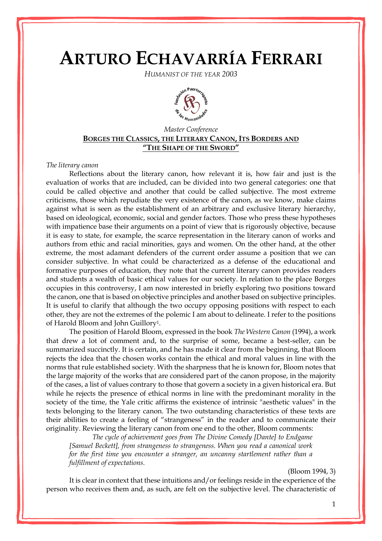# **ARTURO ECHAVARRÍA FERRARI**

*HUMANIST OF THE YEAR 2003*



# *Master Conference* **BORGES THE CLASSICS, THE LITERARY CANON, ITS BORDERS AND "THE SHAPE OF THE SWORD"**

#### *The literary canon*

Reflections about the literary canon, how relevant it is, how fair and just is the evaluation of works that are included, can be divided into two general categories: one that could be called objective and another that could be called subjective. The most extreme criticisms, those which repudiate the very existence of the canon, as we know, make claims against what is seen as the establishment of an arbitrary and exclusive literary hierarchy, based on ideological, economic, social and gender factors. Those who press these hypotheses with impatience base their arguments on a point of view that is rigorously objective, because it is easy to state, for example, the scarce representation in the literary canon of works and authors from ethic and racial minorities, gays and women. On the other hand, at the other extreme, the most adamant defenders of the current order assume a position that we can consider subjective. In what could be characterized as a defense of the educational and formative purposes of education, they note that the current literary canon provides readers and students a wealth of basic ethical values for our society. In relation to the place Borges occupies in this controversy, I am now interested in briefly exploring two positions toward the canon, one that is based on objective principles and another based on subjective principles. It is useful to clarify that although the two occupy opposing positions with respect to each other, they are not the extremes of the polemic I am about to delineate. I refer to the positions of Harold Bloom and John Guillory1.

The position of Harold Bloom, expressed in the book *The Western Canon* (1994), a work that drew a lot of comment and, to the surprise of some, became a best-seller, can be summarized succinctly. It is certain, and he has made it clear from the beginning, that Bloom rejects the idea that the chosen works contain the ethical and moral values in line with the norms that rule established society. With the sharpness that he is known for, Bloom notes that the large majority of the works that are considered part of the canon propose, in the majority of the cases, a list of values contrary to those that govern a society in a given historical era. But while he rejects the presence of ethical norms in line with the predominant morality in the society of the time, the Yale critic affirms the existence of intrinsic "aesthetic values" in the texts belonging to the literary canon. The two outstanding characteristics of these texts are their abilities to create a feeling of "strangeness" in the reader and to communicate their originality. Reviewing the literary canon from one end to the other, Bloom comments:

*The cycle of achievement goes from The Divine Comedy [Dante] to Endgame [Samuel Beckett], from strangeness to strangeness. When you read a canonical work for the first time you encounter a stranger, an uncanny startlement rather than a fulfillment of expectations.* 

#### (Bloom 1994, 3)

It is clear in context that these intuitions and/or feelings reside in the experience of the person who receives them and, as such, are felt on the subjective level. The characteristic of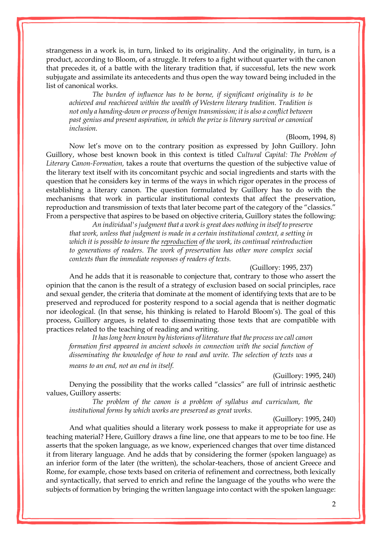strangeness in a work is, in turn, linked to its originality. And the originality, in turn, is a product, according to Bloom, of a struggle. It refers to a fight without quarter with the canon that precedes it, of a battle with the literary tradition that, if successful, lets the new work subjugate and assimilate its antecedents and thus open the way toward being included in the list of canonical works.

*The burden of influence has to be borne, if significant originality is to be achieved and reachieved within the wealth of Western literary tradition. Tradition is not only a handing-down or process of benign transmission; it is also a conflict between past genius and present aspiration, in which the prize is literary survival or canonical inclusion.*

## (Bloom, 1994, 8)

Now let's move on to the contrary position as expressed by John Guillory. John Guillory, whose best known book in this context is titled *Cultural Capital: The Problem of Literary Canon-Formation,* takes a route that overturns the question of the subjective value of the literary text itself with its concomitant psychic and social ingredients and starts with the question that he considers key in terms of the ways in which rigor operates in the process of establishing a literary canon. The question formulated by Guillory has to do with the mechanisms that work in particular institutional contexts that affect the preservation, reproduction and transmission of texts that later become part of the category of the "classics." From a perspective that aspires to be based on objective criteria, Guillory states the following:

*An individual's judgment that a work is great does nothing in itself to preserve that work, unless that judgment is made in a certain institutional context, a setting in which it is possible to insure the reproduction of the work, its continual reintroduction to generations of readers. The work of preservation has other more complex social contexts than the immediate responses of readers of texts.*

(Guillory: 1995, 237)

And he adds that it is reasonable to conjecture that, contrary to those who assert the opinion that the canon is the result of a strategy of exclusion based on social principles, race and sexual gender, the criteria that dominate at the moment of identifying texts that are to be preserved and reproduced for posterity respond to a social agenda that is neither dogmatic nor ideological. (In that sense, his thinking is related to Harold Bloom's). The goal of this process, Guillory argues, is related to disseminating those texts that are compatible with practices related to the teaching of reading and writing.

*It has long been known by historians of literature that the process we call canon formation first appeared in ancient schools in connection with the social function of disseminating the knowledge of how to read and write. The selection of texts was a means to an end, not an end in itself.*

(Guillory: 1995, 240)

Denying the possibility that the works called "classics" are full of intrinsic aesthetic values, Guillory asserts:

*The problem of the canon is a problem of syllabus and curriculum, the institutional forms by which works are preserved as great works.*

(Guillory: 1995, 240)

And what qualities should a literary work possess to make it appropriate for use as teaching material? Here, Guillory draws a fine line, one that appears to me to be too fine. He asserts that the spoken language, as we know, experienced changes that over time distanced it from literary language. And he adds that by considering the former (spoken language) as an inferior form of the later (the written), the scholar-teachers, those of ancient Greece and Rome, for example, chose texts based on criteria of refinement and correctness, both lexically and syntactically, that served to enrich and refine the language of the youths who were the subjects of formation by bringing the written language into contact with the spoken language: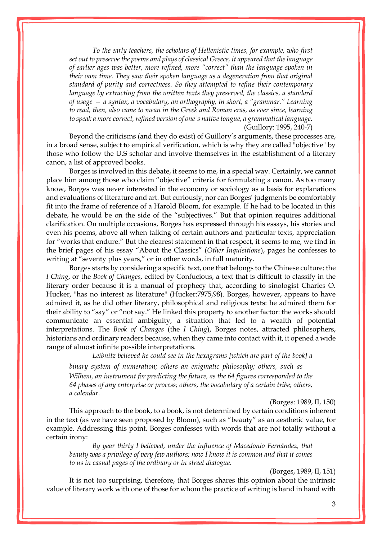*To the early teachers, the scholars of Hellenistic times, for example, who first set out to preserve the poems and plays of classical Greece, it appeared that the language of earlier ages was better, more refined, more "correct" than the language spoken in their own time. They saw their spoken language as a degeneration from that original standard of purity and correctness. So they attempted to refine their contemporary language by extracting from the written texts they preserved, the classics, a standard of usage — a syntax, a vocabulary, an orthography, in short, a "grammar." Learning to read, then, also came to mean in the Greek and Roman eras, as ever since, learning to speak a more correct, refined version of one's native tongue, a grammatical language.*  (Guillory: 1995, 240-7)

Beyond the criticisms (and they do exist) of Guillory's arguments, these processes are, in a broad sense, subject to empirical verification, which is why they are called "objective" by those who follow the U.S scholar and involve themselves in the establishment of a literary canon, a list of approved books.

Borges is involved in this debate, it seems to me, in a special way. Certainly, we cannot place him among those who claim "objective" criteria for formulating a canon. As too many know, Borges was never interested in the economy or sociology as a basis for explanations and evaluations of literature and art. But curiously, nor can Borges' judgments be comfortably fit into the frame of reference of a Harold Bloom, for example. If he had to be located in this debate, he would be on the side of the "subjectives." But that opinion requires additional clarification. On multiple occasions, Borges has expressed through his essays, his stories and even his poems, above all when talking of certain authors and particular texts, appreciation for "works that endure." But the clearest statement in that respect, it seems to me, we find in the brief pages of his essay "About the Classics" (*Other Inquisitions*), pages he confesses to writing at "seventy plus years," or in other words, in full maturity.

Borges starts by considering a specific text, one that belongs to the Chinese culture: the *I Ching*, or the *Book of Changes*, edited by Confucious, a text that is difficult to classify in the literary order because it is a manual of prophecy that, according to sinologist Charles O. Hucker, "has no interest as literature" (Hucker:7975,98). Borges, however, appears to have admired it, as he did other literary, philosophical and religious texts: he admired them for their ability to "say" or "not say." He linked this property to another factor: the works should communicate an essential ambiguity, a situation that led to a wealth of potential interpretations. The *Book of Changes* (the *I Ching*), Borges notes, attracted philosophers, historians and ordinary readers because, when they came into contact with it, it opened a wide range of almost infinite possible interpretations.

*Leibnitz believed he could see in the hexagrams [which are part of the book] a* 

*binary system of numeration; others an enigmatic philosophy; others, such as Wilhem, an instrument for predicting the future, as the 64 figures corresponded to the 64 phases of any enterprise or process; others, the vocabulary of a certain tribe; others, a calendar.*

(Borges: 1989, II, 150)

This approach to the book, to a book, is not determined by certain conditions inherent in the text (as we have seen proposed by Bloom), such as "beauty" as an aesthetic value, for example. Addressing this point, Borges confesses with words that are not totally without a certain irony:

*By year thirty I believed, under the influence of Macedonio Fernández, that beauty was a privilege of very few authors; now I know it is common and that it comes to us in casual pages of the ordinary or in street dialogue.*

(Borges, 1989, II, 151)

It is not too surprising, therefore, that Borges shares this opinion about the intrinsic value of literary work with one of those for whom the practice of writing is hand in hand with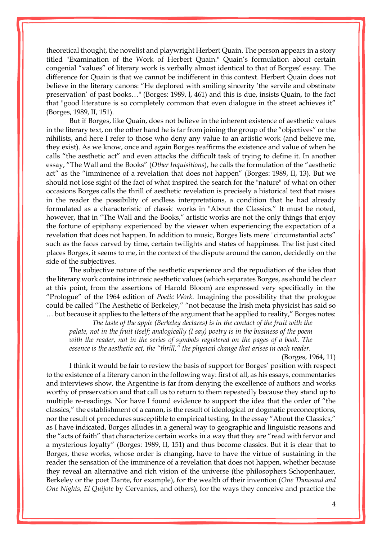theoretical thought, the novelist and playwright Herbert Quain. The person appears in a story titled "Examination of the Work of Herbert Quain." Quain's formulation about certain congenial "values" of literary work is verbally almost identical to that of Borges' essay. The difference for Quain is that we cannot be indifferent in this context. Herbert Quain does not believe in the literary canons: "He deplored with smiling sincerity 'the servile and obstinate preservation' of past books…" (Borges: 1989, l, 461) and this is due, insists Quain, to the fact that "good literature is so completely common that even dialogue in the street achieves it" (Borges, 1989, II, 151).

But if Borges, like Quain, does not believe in the inherent existence of aesthetic values in the literary text, on the other hand he is far from joining the group of the "objectives" or the nihilists, and here I refer to those who deny any value to an artistic work (and believe me, they exist). As we know, once and again Borges reaffirms the existence and value of when he calls "the aesthetic act" and even attacks the difficult task of trying to define it. In another essay, "The Wall and the Books" (*Other Inquisitions*), he calls the formulation of the "aesthetic act" as the "imminence of a revelation that does not happen" (Borges: 1989, II, 13). But we should not lose sight of the fact of what inspired the search for the "nature" of what on other occasions Borges calls the thrill of aesthetic revelation is precisely a historical text that raises in the reader the possibility of endless interpretations, a condition that he had already formulated as a characteristic of classic works in "About the Classics." It must be noted, however, that in "The Wall and the Books," artistic works are not the only things that enjoy the fortune of epiphany experienced by the viewer when experiencing the expectation of a revelation that does not happen. In addition to music, Borges lists mere "circumstantial acts" such as the faces carved by time, certain twilights and states of happiness. The list just cited places Borges, it seems to me, in the context of the dispute around the canon, decidedly on the side of the subjectives.

The subjective nature of the aesthetic experience and the repudiation of the idea that the literary work contains intrinsic aesthetic values (which separates Borges, as should be clear at this point, from the assertions of Harold Bloom) are expressed very specifically in the "Prologue" of the 1964 edition of *Poetic Work.* Imagining the possibility that the prologue could be called "The Aesthetic of Berkeley," "not because the Irish meta physicist has said so … but because it applies to the letters of the argument that he applied to reality," Borges notes:

*The taste of the apple (Berkeley declares) is in the contact of the fruit with the palate, not in the fruit itself; analogically (I say) poetry is in the business of the poem with the reader, not in the series of symbols registered on the pages of a book. The essence is the aesthetic act, the "thrill," the physical change that arises in each reader.*

(Borges, 1964, 11)

I think it would be fair to review the basis of support for Borges' position with respect to the existence of a literary canon in the following way: first of all, as his essays, commentaries and interviews show, the Argentine is far from denying the excellence of authors and works worthy of preservation and that call us to return to them repeatedly because they stand up to multiple re-readings. Nor have I found evidence to support the idea that the order of "the classics," the establishment of a canon, is the result of ideological or dogmatic preconceptions, nor the result of procedures susceptible to empirical testing. In the essay "About the Classics," as I have indicated, Borges alludes in a general way to geographic and linguistic reasons and the "acts of faith" that characterize certain works in a way that they are "read with fervor and a mysterious loyalty" (Borges: 1989, II, 151) and thus become classics. But it is clear that to Borges, these works, whose order is changing, have to have the virtue of sustaining in the reader the sensation of the imminence of a revelation that does not happen, whether because they reveal an alternative and rich vision of the universe (the philosophers Schopenhauer, Berkeley or the poet Dante, for example), for the wealth of their invention (*One Thousand and One Nights, El Quijote* by Cervantes, and others), for the ways they conceive and practice the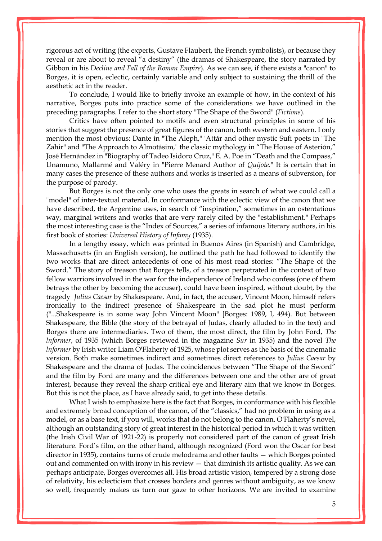rigorous act of writing (the experts, Gustave Flaubert, the French symbolists), or because they reveal or are about to reveal "a destiny" (the dramas of Shakespeare, the story narrated by Gibbon in his D*ecline and Fall of the Roman Empire*). As we can see, if there exists a "canon" to Borges, it is open, eclectic, certainly variable and only subject to sustaining the thrill of the aesthetic act in the reader.

To conclude, I would like to briefly invoke an example of how, in the context of his narrative, Borges puts into practice some of the considerations we have outlined in the preceding paragraphs. I refer to the short story "The Shape of the Sword" (*Fictions*).

Critics have often pointed to motifs and even structural principles in some of his stories that suggest the presence of great figures of the canon, both western and eastern. I only mention the most obvious: Dante in "The Aleph," 'Attár and other mystic Sufi poets in "The Zahir" and "The Approach to Almotásim," the classic mythology in "The House of Asterión," José Hernández in "Biography of Tadeo Isidoro Cruz," E. A. Poe in "Death and the Compass," Unamuno, Mallarmé and Valéry in "Pierre Menard Author of *Quijote.*" It is certain that in many cases the presence of these authors and works is inserted as a means of subversion, for the purpose of parody.

But Borges is not the only one who uses the greats in search of what we could call a "model" of inter-textual material. In conformance with the eclectic view of the canon that we have described, the Argentine uses, in search of "inspiration," sometimes in an ostentatious way, marginal writers and works that are very rarely cited by the "establishment." Perhaps the most interesting case is the "Index of Sources," a series of infamous literary authors, in his first book of stories: *Universal History of Infamy* (1935).

In a lengthy essay, which was printed in Buenos Aires (in Spanish) and Cambridge, Massachusetts (in an English version), he outlined the path he had followed to identify the two works that are direct antecedents of one of his most read stories: "The Shape of the Sword." The story of treason that Borges tells, of a treason perpetrated in the context of two fellow warriors involved in the war for the independence of Ireland who confess (one of them betrays the other by becoming the accuser), could have been inspired, without doubt, by the tragedy *Julius Caesar* by Shakespeare. And, in fact, the accuser, Vincent Moon, himself refers ironically to the indirect presence of Shakespeare in the sad plot he must perform ("...Shakespeare is in some way John Vincent Moon" [Borges: 1989, I, 494). But between Shakespeare, the Bible (the story of the betrayal of Judas, clearly alluded to in the text) and Borges there are intermediaries. Two of them, the most direct, the film by John Ford, *The lnformer*, of 1935 (which Borges reviewed in the magazine *Sur* in 1935) and the novel *The lnformer* by Irish writer Liam O'Flaherty of 1925, whose plot serves as the basis of the cinematic version. Both make sometimes indirect and sometimes direct references to *Julius Caesar* by Shakespeare and the drama of Judas. The coincidences between "The Shape of the Sword" and the film by Ford are many and the differences between one and the other are of great interest, because they reveal the sharp critical eye and literary aim that we know in Borges. But this is not the place, as I have already said, to get into these details.

What I wish to emphasize here is the fact that Borges, in conformance with his flexible and extremely broad conception of the canon, of the "classics," had no problem in using as a model, or as a base text, if you will, works that do not belong to the canon. O'Flaherty's novel, although an outstanding story of great interest in the historical period in which it was written (the Irish Civil War of 1921-22) is properly not considered part of the canon of great Irish literature. Ford's film, on the other hand, although recognized (Ford won the Oscar for best director in 1935), contains turns of crude melodrama and other faults — which Borges pointed out and commented on with irony in his review — that diminish its artistic quality. As we can perhaps anticipate, Borges overcomes all. His broad artistic vision, tempered by a strong dose of relativity, his eclecticism that crosses borders and genres without ambiguity, as we know so well, frequently makes us turn our gaze to other horizons. We are invited to examine